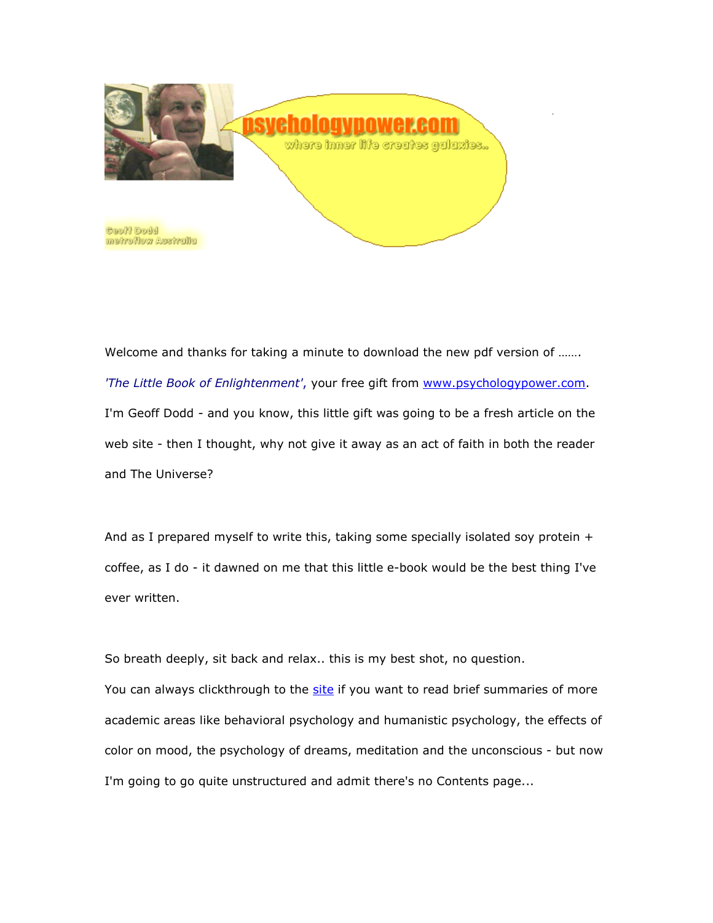

Welcome and thanks for taking a minute to download the new pdf version of ……. 'The Little Book of Enlightenment', your free gift from www.psychologypower.com. I'm Geoff Dodd - and you know, this little gift was going to be a fresh article on the web site - then I thought, why not give it away as an act of faith in both the reader and The Universe?

And as I prepared myself to write this, taking some specially isolated soy protein  $+$ coffee, as I do - it dawned on me that this little e-book would be the best thing I've ever written.

So breath deeply, sit back and relax.. this is my best shot, no question.

You can always clickthrough to the site if you want to read brief summaries of more academic areas like behavioral psychology and humanistic psychology, the effects of color on mood, the psychology of dreams, meditation and the unconscious - but now I'm going to go quite unstructured and admit there's no Contents page...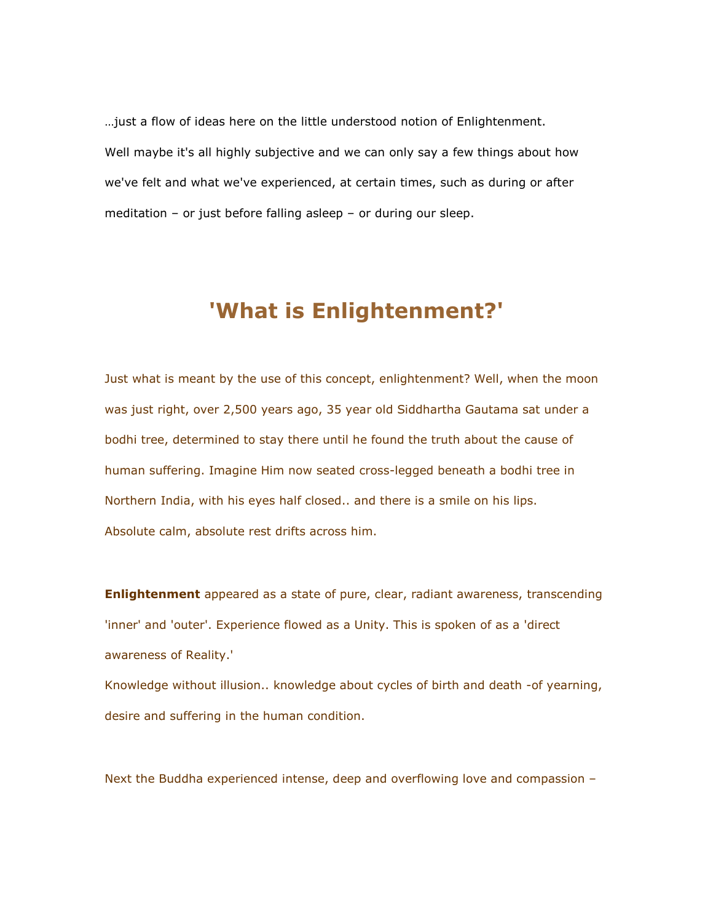…just a flow of ideas here on the little understood notion of Enlightenment. Well maybe it's all highly subjective and we can only say a few things about how we've felt and what we've experienced, at certain times, such as during or after meditation – or just before falling asleep – or during our sleep.

## 'What is Enlightenment?'

Just what is meant by the use of this concept, enlightenment? Well, when the moon was just right, over 2,500 years ago, 35 year old Siddhartha Gautama sat under a bodhi tree, determined to stay there until he found the truth about the cause of human suffering. Imagine Him now seated cross-legged beneath a bodhi tree in Northern India, with his eyes half closed.. and there is a smile on his lips. Absolute calm, absolute rest drifts across him.

**Enlightenment** appeared as a state of pure, clear, radiant awareness, transcending 'inner' and 'outer'. Experience flowed as a Unity. This is spoken of as a 'direct awareness of Reality.'

Knowledge without illusion.. knowledge about cycles of birth and death -of yearning, desire and suffering in the human condition.

Next the Buddha experienced intense, deep and overflowing love and compassion –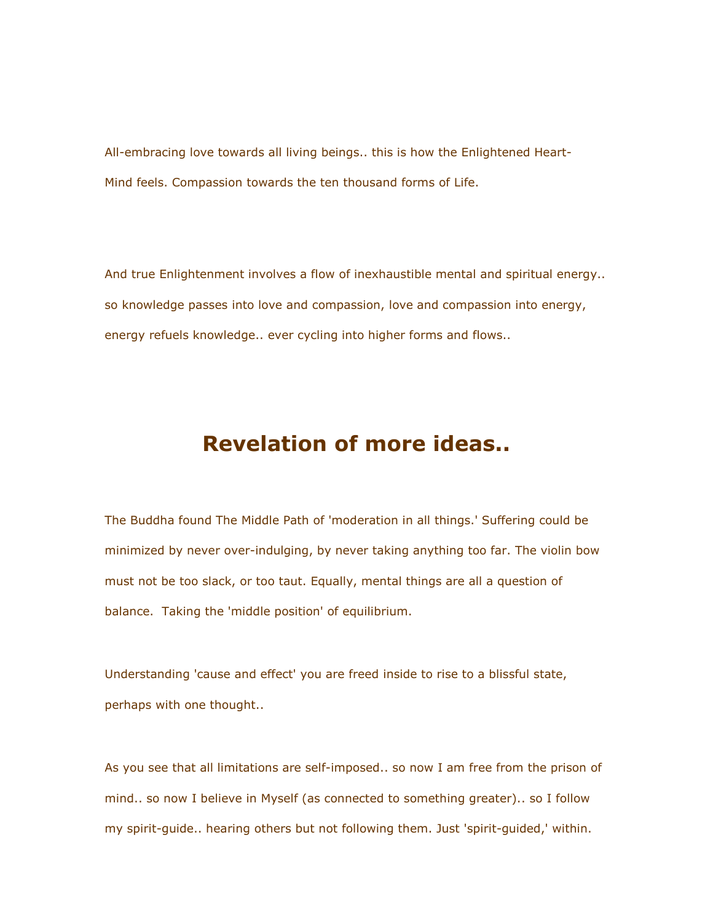All-embracing love towards all living beings.. this is how the Enlightened Heart-Mind feels. Compassion towards the ten thousand forms of Life.

And true Enlightenment involves a flow of inexhaustible mental and spiritual energy.. so knowledge passes into love and compassion, love and compassion into energy, energy refuels knowledge.. ever cycling into higher forms and flows..

## Revelation of more ideas..

The Buddha found The Middle Path of 'moderation in all things.' Suffering could be minimized by never over-indulging, by never taking anything too far. The violin bow must not be too slack, or too taut. Equally, mental things are all a question of balance. Taking the 'middle position' of equilibrium.

Understanding 'cause and effect' you are freed inside to rise to a blissful state, perhaps with one thought..

As you see that all limitations are self-imposed.. so now I am free from the prison of mind.. so now I believe in Myself (as connected to something greater).. so I follow my spirit-guide.. hearing others but not following them. Just 'spirit-guided,' within.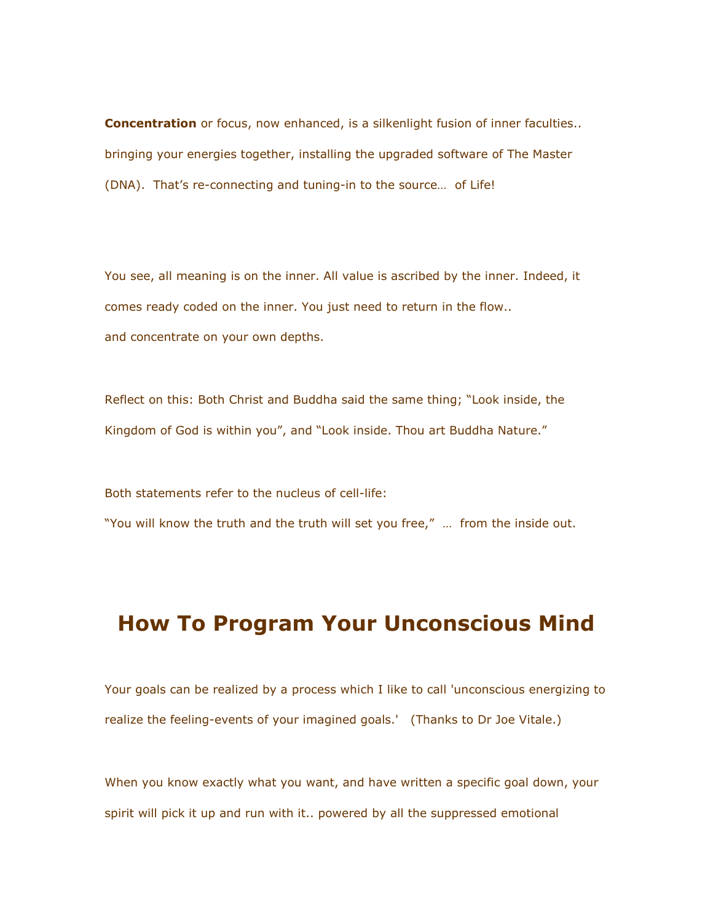**Concentration** or focus, now enhanced, is a silkenlight fusion of inner faculties.. bringing your energies together, installing the upgraded software of The Master (DNA). That's re-connecting and tuning-in to the source… of Life!

You see, all meaning is on the inner. All value is ascribed by the inner. Indeed, it comes ready coded on the inner. You just need to return in the flow.. and concentrate on your own depths.

Reflect on this: Both Christ and Buddha said the same thing; "Look inside, the Kingdom of God is within you", and "Look inside. Thou art Buddha Nature."

Both statements refer to the nucleus of cell-life:

"You will know the truth and the truth will set you free," … from the inside out.

## How To Program Your Unconscious Mind

Your goals can be realized by a process which I like to call 'unconscious energizing to realize the feeling-events of your imagined goals.' (Thanks to Dr Joe Vitale.)

When you know exactly what you want, and have written a specific goal down, your spirit will pick it up and run with it.. powered by all the suppressed emotional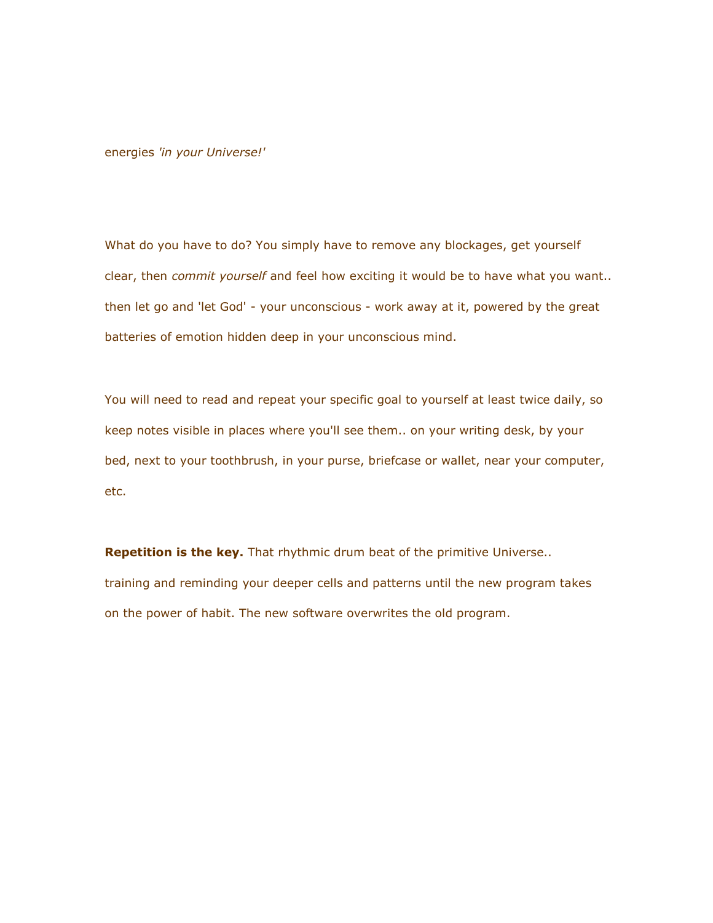energies 'in your Universe!'

What do you have to do? You simply have to remove any blockages, get yourself clear, then *commit yourself* and feel how exciting it would be to have what you want.. then let go and 'let God' - your unconscious - work away at it, powered by the great batteries of emotion hidden deep in your unconscious mind.

You will need to read and repeat your specific goal to yourself at least twice daily, so keep notes visible in places where you'll see them.. on your writing desk, by your bed, next to your toothbrush, in your purse, briefcase or wallet, near your computer, etc.

Repetition is the key. That rhythmic drum beat of the primitive Universe.. training and reminding your deeper cells and patterns until the new program takes on the power of habit. The new software overwrites the old program.